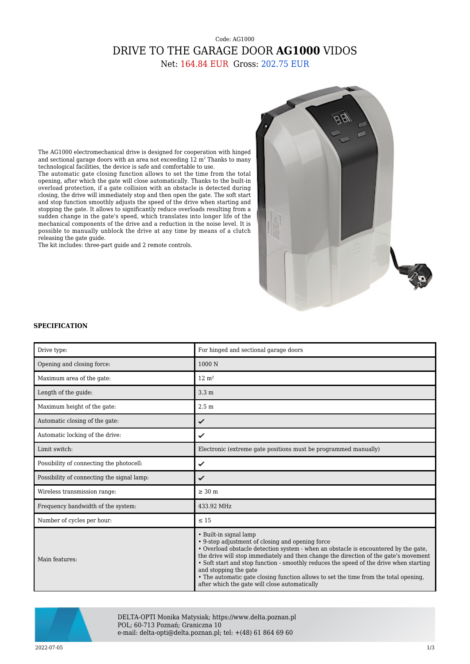## Code: AG1000 DRIVE TO THE GARAGE DOOR **AG1000** VIDOS

Net: 164.84 EUR Gross: 202.75 EUR



The AG1000 electromechanical drive is designed for cooperation with hinged and sectional garage doors with an area not exceeding 12  $m^2$  Thanks to many technological facilities, the device is safe and comfortable to use.

The automatic gate closing function allows to set the time from the total opening, after which the gate will close automatically. Thanks to the built-in overload protection, if a gate collision with an obstacle is detected during closing, the drive will immediately stop and then open the gate. The soft start and stop function smoothly adjusts the speed of the drive when starting and stopping the gate. It allows to significantly reduce overloads resulting from a sudden change in the gate's speed, which translates into longer life of the mechanical components of the drive and a reduction in the noise level. It is possible to manually unblock the drive at any time by means of a clutch releasing the gate guide.

The kit includes: three-part guide and 2 remote controls.

## **SPECIFICATION**

| Drive type:                                | For hinged and sectional garage doors                                                                                                                                                                                                                                                                                                                                                                                                                                                                                 |
|--------------------------------------------|-----------------------------------------------------------------------------------------------------------------------------------------------------------------------------------------------------------------------------------------------------------------------------------------------------------------------------------------------------------------------------------------------------------------------------------------------------------------------------------------------------------------------|
| Opening and closing force:                 | 1000 N                                                                                                                                                                                                                                                                                                                                                                                                                                                                                                                |
| Maximum area of the gate:                  | $12 \text{ m}^2$                                                                                                                                                                                                                                                                                                                                                                                                                                                                                                      |
| Length of the quide:                       | 3.3 <sub>m</sub>                                                                                                                                                                                                                                                                                                                                                                                                                                                                                                      |
| Maximum height of the gate:                | 2.5 <sub>m</sub>                                                                                                                                                                                                                                                                                                                                                                                                                                                                                                      |
| Automatic closing of the gate:             | ✓                                                                                                                                                                                                                                                                                                                                                                                                                                                                                                                     |
| Automatic locking of the drive:            | ✓                                                                                                                                                                                                                                                                                                                                                                                                                                                                                                                     |
| Limit switch:                              | Electronic (extreme gate positions must be programmed manually)                                                                                                                                                                                                                                                                                                                                                                                                                                                       |
| Possibility of connecting the photocell:   | ✓                                                                                                                                                                                                                                                                                                                                                                                                                                                                                                                     |
| Possibility of connecting the signal lamp: | ✓                                                                                                                                                                                                                                                                                                                                                                                                                                                                                                                     |
| Wireless transmission range:               | $\geq 30$ m                                                                                                                                                                                                                                                                                                                                                                                                                                                                                                           |
| Frequency bandwidth of the system:         | 433.92 MHz                                                                                                                                                                                                                                                                                                                                                                                                                                                                                                            |
| Number of cycles per hour:                 | $\leq 15$                                                                                                                                                                                                                                                                                                                                                                                                                                                                                                             |
| Main features:                             | • Built-in signal lamp<br>• 9-step adjustment of closing and opening force<br>• Overload obstacle detection system - when an obstacle is encountered by the gate,<br>the drive will stop immediately and then change the direction of the gate's movement<br>• Soft start and stop function - smoothly reduces the speed of the drive when starting<br>and stopping the gate<br>• The automatic gate closing function allows to set the time from the total opening,<br>after which the gate will close automatically |



DELTA-OPTI Monika Matysiak; https://www.delta.poznan.pl POL; 60-713 Poznań; Graniczna 10 e-mail: delta-opti@delta.poznan.pl; tel: +(48) 61 864 69 60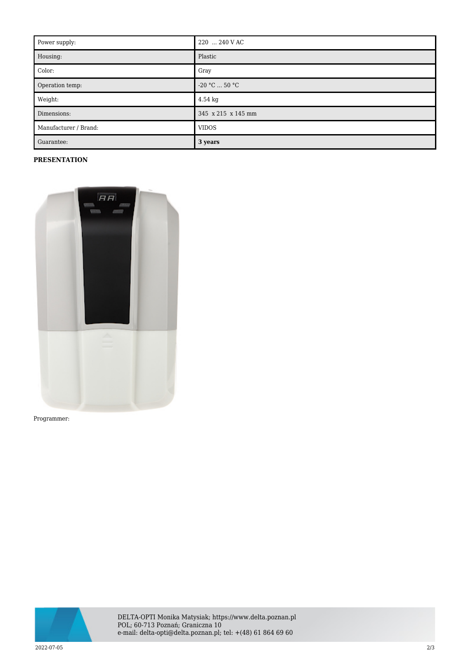| Power supply:         | 220  240 V AC      |
|-----------------------|--------------------|
| Housing:              | Plastic            |
| Color:                | Gray               |
| Operation temp:       | $-20 °C  50 °C$    |
| Weight:               | $4.54$ kg          |
| Dimensions:           | 345 x 215 x 145 mm |
| Manufacturer / Brand: | <b>VIDOS</b>       |
| Guarantee:            | 3 years            |

## **PRESENTATION**



Programmer:



DELTA-OPTI Monika Matysiak; https://www.delta.poznan.pl POL; 60-713 Poznań; Graniczna 10 e-mail: delta-opti@delta.poznan.pl; tel: +(48) 61 864 69 60

2022-07-05 2/3